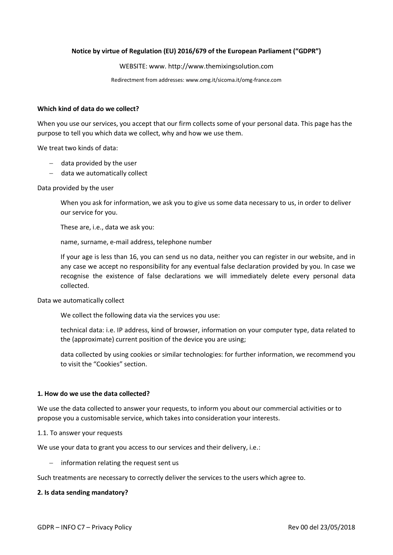## **Notice by virtue of Regulation (EU) 2016/679 of the European Parliament ("GDPR")**

### WEBSITE: www. [http://www.themixingsolution.com](http://www.themixingsolution.com/)

Redirectment from addresses: www.omg.it/sicoma.it/omg-france.com

#### **Which kind of data do we collect?**

When you use our services, you accept that our firm collects some of your personal data. This page has the purpose to tell you which data we collect, why and how we use them.

We treat two kinds of data:

- − data provided by the user
- − data we automatically collect

Data provided by the user

When you ask for information, we ask you to give us some data necessary to us, in order to deliver our service for you.

These are, i.e., data we ask you:

name, surname, e-mail address, telephone number

If your age is less than 16, you can send us no data, neither you can register in our website, and in any case we accept no responsibility for any eventual false declaration provided by you. In case we recognise the existence of false declarations we will immediately delete every personal data collected.

Data we automatically collect

We collect the following data via the services you use:

technical data: i.e. IP address, kind of browser, information on your computer type, data related to the (approximate) current position of the device you are using;

data collected by using cookies or similar technologies: for further information, we recommend you to visit the "Cookies" section.

#### **1. How do we use the data collected?**

We use the data collected to answer your requests, to inform you about our commercial activities or to propose you a customisable service, which takes into consideration your interests.

#### 1.1. To answer your requests

We use your data to grant you access to our services and their delivery, i.e.:

− information relating the request sent us

Such treatments are necessary to correctly deliver the services to the users which agree to.

#### **2. Is data sending mandatory?**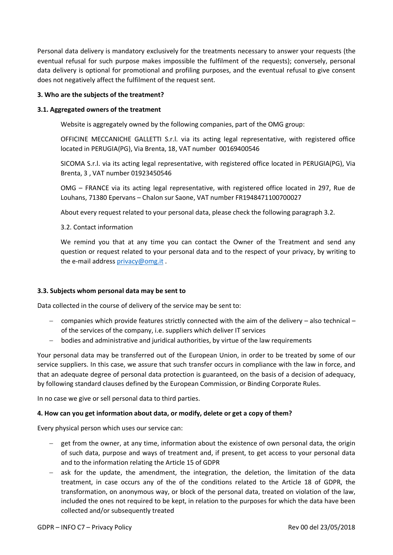Personal data delivery is mandatory exclusively for the treatments necessary to answer your requests (the eventual refusal for such purpose makes impossible the fulfilment of the requests); conversely, personal data delivery is optional for promotional and profiling purposes, and the eventual refusal to give consent does not negatively affect the fulfilment of the request sent.

## **3. Who are the subjects of the treatment?**

## **3.1. Aggregated owners of the treatment**

Website is aggregately owned by the following companies, part of the OMG group:

OFFICINE MECCANICHE GALLETTI S.r.l. via its acting legal representative, with registered office located in PERUGIA(PG), Via Brenta, 18, VAT number 00169400546

SICOMA S.r.l. via its acting legal representative, with registered office located in PERUGIA(PG), Via Brenta, 3 , VAT number 01923450546

OMG – FRANCE via its acting legal representative, with registered office located in 297, Rue de Louhans, 71380 Epervans – Chalon sur Saone, VAT number FR1948471100700027

About every request related to your personal data, please check the following paragraph 3.2.

3.2. Contact information

We remind you that at any time you can contact the Owner of the Treatment and send any question or request related to your personal data and to the respect of your privacy, by writing to the e-mail address [privacy@omg.it](mailto:privacy@omg.it) .

## **3.3. Subjects whom personal data may be sent to**

Data collected in the course of delivery of the service may be sent to:

- − companies which provide features strictly connected with the aim of the delivery also technical of the services of the company, i.e. suppliers which deliver IT services
- − bodies and administrative and juridical authorities, by virtue of the law requirements

Your personal data may be transferred out of the European Union, in order to be treated by some of our service suppliers. In this case, we assure that such transfer occurs in compliance with the law in force, and that an adequate degree of personal data protection is guaranteed, on the basis of a decision of adequacy, by following standard clauses defined by the European Commission, or Binding Corporate Rules.

In no case we give or sell personal data to third parties.

## **4. How can you get information about data, or modify, delete or get a copy of them?**

Every physical person which uses our service can:

- get from the owner, at any time, information about the existence of own personal data, the origin of such data, purpose and ways of treatment and, if present, to get access to your personal data and to the information relating the Article 15 of GDPR
- − ask for the update, the amendment, the integration, the deletion, the limitation of the data treatment, in case occurs any of the of the conditions related to the Article 18 of GDPR, the transformation, on anonymous way, or block of the personal data, treated on violation of the law, included the ones not required to be kept, in relation to the purposes for which the data have been collected and/or subsequently treated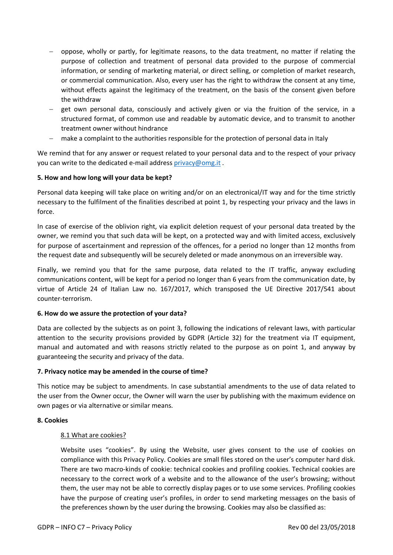- − oppose, wholly or partly, for legitimate reasons, to the data treatment, no matter if relating the purpose of collection and treatment of personal data provided to the purpose of commercial information, or sending of marketing material, or direct selling, or completion of market research, or commercial communication. Also, every user has the right to withdraw the consent at any time, without effects against the legitimacy of the treatment, on the basis of the consent given before the withdraw
- − get own personal data, consciously and actively given or via the fruition of the service, in a structured format, of common use and readable by automatic device, and to transmit to another treatment owner without hindrance
- make a complaint to the authorities responsible for the protection of personal data in Italy

We remind that for any answer or request related to your personal data and to the respect of your privacy you can write to the dedicated e-mail address [privacy@omg.it](mailto:privacy@omg.it).

# **5. How and how long will your data be kept?**

Personal data keeping will take place on writing and/or on an electronical/IT way and for the time strictly necessary to the fulfilment of the finalities described at point 1, by respecting your privacy and the laws in force.

In case of exercise of the oblivion right, via explicit deletion request of your personal data treated by the owner, we remind you that such data will be kept, on a protected way and with limited access, exclusively for purpose of ascertainment and repression of the offences, for a period no longer than 12 months from the request date and subsequently will be securely deleted or made anonymous on an irreversible way.

Finally, we remind you that for the same purpose, data related to the IT traffic, anyway excluding communications content, will be kept for a period no longer than 6 years from the communication date, by virtue of Article 24 of Italian Law no. 167/2017, which transposed the UE Directive 2017/541 about counter-terrorism.

# **6. How do we assure the protection of your data?**

Data are collected by the subjects as on point 3, following the indications of relevant laws, with particular attention to the security provisions provided by GDPR (Article 32) for the treatment via IT equipment, manual and automated and with reasons strictly related to the purpose as on point 1, and anyway by guaranteeing the security and privacy of the data.

# **7. Privacy notice may be amended in the course of time?**

This notice may be subject to amendments. In case substantial amendments to the use of data related to the user from the Owner occur, the Owner will warn the user by publishing with the maximum evidence on own pages or via alternative or similar means.

# **8. Cookies**

# 8.1 What are cookies?

Website uses "cookies". By using the Website, user gives consent to the use of cookies on compliance with this Privacy Policy. Cookies are small files stored on the user's computer hard disk. There are two macro-kinds of cookie: technical cookies and profiling cookies. Technical cookies are necessary to the correct work of a website and to the allowance of the user's browsing; without them, the user may not be able to correctly display pages or to use some services. Profiling cookies have the purpose of creating user's profiles, in order to send marketing messages on the basis of the preferences shown by the user during the browsing. Cookies may also be classified as: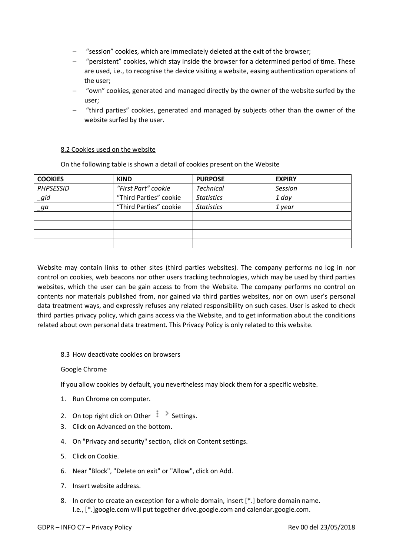- − "session" cookies, which are immediately deleted at the exit of the browser;
- − "persistent" cookies, which stay inside the browser for a determined period of time. These are used, i.e., to recognise the device visiting a website, easing authentication operations of the user;
- − "own" cookies, generated and managed directly by the owner of the website surfed by the user;
- − "third parties" cookies, generated and managed by subjects other than the owner of the website surfed by the user.

## 8.2 Cookies used on the website

On the following table is shown a detail of cookies present on the Website

| <b>COOKIES</b>   | <b>KIND</b>            | <b>PURPOSE</b>    | <b>EXPIRY</b> |
|------------------|------------------------|-------------------|---------------|
| <b>PHPSESSID</b> | "First Part" cookie    | <b>Technical</b>  | Session       |
| _gid             | "Third Parties" cookie | <b>Statistics</b> | 1 day         |
| $-ga$            | "Third Parties" cookie | <b>Statistics</b> | 1 year        |
|                  |                        |                   |               |
|                  |                        |                   |               |
|                  |                        |                   |               |
|                  |                        |                   |               |

Website may contain links to other sites (third parties websites). The company performs no log in nor control on cookies, web beacons nor other users tracking technologies, which may be used by third parties websites, which the user can be gain access to from the Website. The company performs no control on contents nor materials published from, nor gained via third parties websites, nor on own user's personal data treatment ways, and expressly refuses any related responsibility on such cases. User is asked to check third parties privacy policy, which gains access via the Website, and to get information about the conditions related about own personal data treatment. This Privacy Policy is only related to this website.

## 8.3 How deactivate cookies on browsers

### Google Chrome

If you allow cookies by default, you nevertheless may block them for a specific website.

- 1. Run Chrome on computer.
- 2. On top right click on Other  $\frac{1}{2}$  > Settings.
- 3. Click on Advanced on the bottom.
- 4. On "Privacy and security" section, click on Content settings.
- 5. Click on Cookie.
- 6. Near "Block", "Delete on exit" or "Allow", click on Add.
- 7. Insert website address.
- 8. In order to create an exception for a whole domain, insert [\*.] before domain name. I.e., [\*.]google.com will put together drive.google.com and calendar.google.com.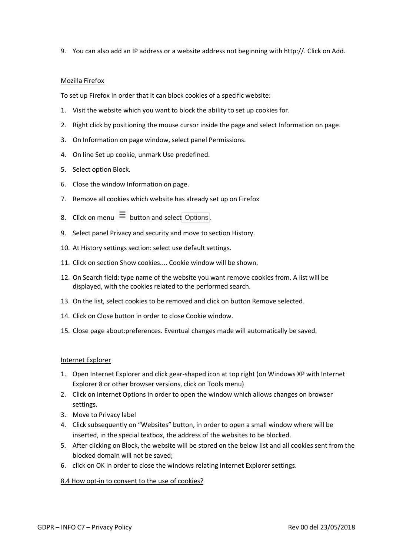9. You can also add an IP address or a website address not beginning with http://. Click on Add.

### Mozilla Firefox

To set up Firefox in order that it can block cookies of a specific website:

- 1. Visit the website which you want to block the ability to set up cookies for.
- 2. Right click by positioning the mouse cursor inside the page and select Information on page.
- 3. On Information on page window, select panel Permissions.
- 4. On line Set up cookie, unmark Use predefined.
- 5. Select option Block.
- 6. Close the window Information on page.
- 7. Remove all cookies which website has already set up on Firefox
- 8. Click on menu  $\equiv$  button and select Options.
- 9. Select panel Privacy and security and move to section History.
- 10. At History settings section: select use default settings.
- 11. Click on section Show cookies.... Cookie window will be shown.
- 12. On Search field: type name of the website you want remove cookies from. A list will be displayed, with the cookies related to the performed search.
- 13. On the list, select cookies to be removed and click on button Remove selected.
- 14. Click on Close button in order to close Cookie window.
- 15. Close page about:preferences. Eventual changes made will automatically be saved.

### Internet Explorer

- 1. Open Internet Explorer and click gear-shaped icon at top right (on Windows XP with Internet Explorer 8 or other browser versions, click on Tools menu)
- 2. Click on Internet Options in order to open the window which allows changes on browser settings.
- 3. Move to Privacy label
- 4. Click subsequently on "Websites" button, in order to open a small window where will be inserted, in the special textbox, the address of the websites to be blocked.
- 5. After clicking on Block, the website will be stored on the below list and all cookies sent from the blocked domain will not be saved;
- 6. click on OK in order to close the windows relating Internet Explorer settings.

### 8.4 How opt-in to consent to the use of cookies?